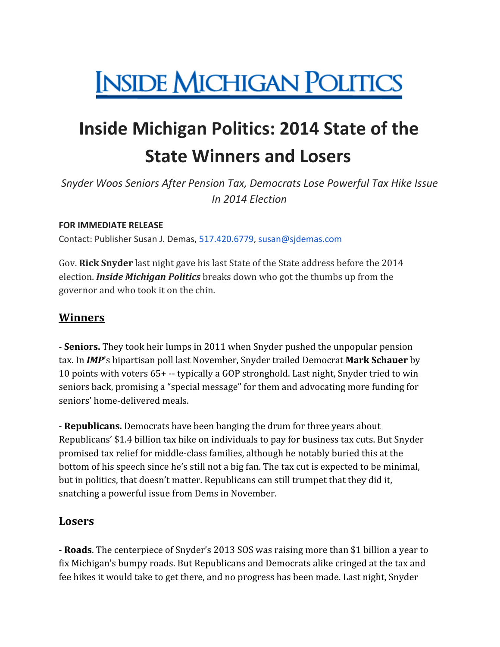# **INSIDE MICHIGAN POLITICS**

## **Inside Michigan Politics: 2014 State of the State Winners and Losers**

*Snyder Woos Seniors After Pension Tax, Democrats Lose Powerful Tax Hike Issue In 2014 Election*

#### **FOR IMMEDIATE RELEASE**

Contact: Publisher Susan J. Demas, 517.420.6779, susan@sjdemas.com

Gov. **Rick Snyder** last night gave his last State of the State address before the 2014 election. *Inside Michigan Politics* breaks down who got the thumbs up from the governor and who took it on the chin.

#### **Winners**

- **Seniors.** They took heir lumps in 2011 when Snyder pushed the unpopular pension tax. In *IMP*'s bipartisan poll last November, Snyder trailed Democrat **Mark Schauer** by 10 points with voters 65+ -- typically a GOP stronghold. Last night, Snyder tried to win seniors back, promising a "special message" for them and advocating more funding for seniors' home-delivered meals.

- **Republicans.** Democrats have been banging the drum for three years about Republicans' \$1.4 billion tax hike on individuals to pay for business tax cuts. But Snyder promised tax relief for middle-class families, although he notably buried this at the bottom of his speech since he's still not a big fan. The tax cut is expected to be minimal, but in politics, that doesn't matter. Republicans can still trumpet that they did it, snatching a powerful issue from Dems in November.

#### **Losers**

- **Roads**. The centerpiece of Snyder's 2013 SOS was raising more than \$1 billion a year to fix Michigan's bumpy roads. But Republicans and Democrats alike cringed at the tax and fee hikes it would take to get there, and no progress has been made. Last night, Snyder